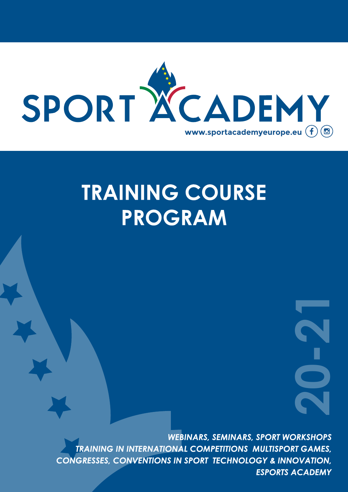

# **TRAINING COURSE PROGRAM**

*WEBINARS, SEMINARS, SPORT WORKSHOPS TRAINING IN INTERNATIONAL COMPETITIONS MULTISPORT GAMES, CONGRESSES, CONVENTIONS IN SPORT TECHNOLOGY & INNOVATION,*  **ESPORT WORKSHOPS**<br> **ESPORT WORKSHOPS**<br> **CORT GAMES,<br>
GY & INNOVATION,<br>
ESPORTS ACADEMY**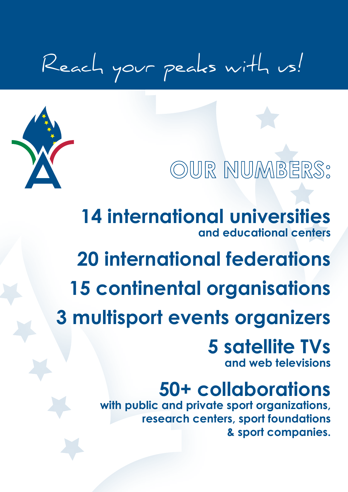# Reach your peaks with us!



# **OUR NUMBERS:**

**14 international universities and educational centers**

# **20 international federations**

**15 continental organisations**

**3 multisport events organizers**

### **5 satellite TVs and web televisions**

# **50+ collaborations**

**with public and private sport organizations, research centers, sport foundations & sport companies.**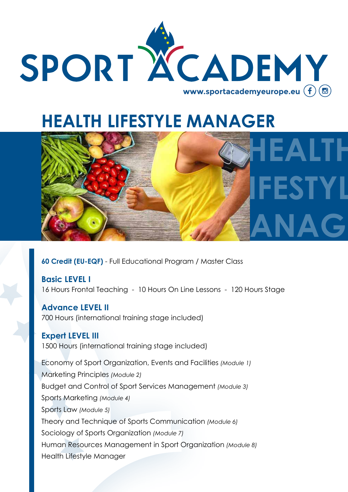

## **HEALTH LIFESTYLE MANAGER**



**60 Credit (EU-EQF)** - Full Educational Program / Master Class

**Basic LEVEL I** 16 Hours Frontal Teaching - 10 Hours On Line Lessons - 120 Hours Stage

**Advance LEVEL II** 700 Hours (international training stage included)

#### **Expert LEVEL III**

1500 Hours (international training stage included)

Economy of Sport Organization, Events and Facilities *(Module 1)* Marketing Principles *(Module 2)* Budget and Control of Sport Services Management *(Module 3)* Sports Marketing *(Module 4)* Sports Law *(Module 5)* Theory and Technique of Sports Communication *(Module 6)* Sociology of Sports Organization *(Module 7)* Human Resources Management in Sport Organization *(Module 8)* Health Lifestyle Manager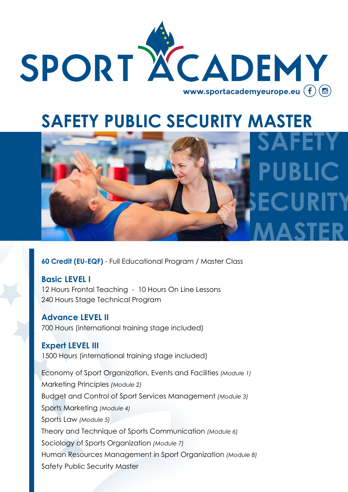

# **SAFETY PUBLIC SECURITY MASTER**



**60 Credit (EU-EQF)** - Full Educational Program / Master Class

#### **Basic LEVEL I**

12 Hours Frontal Teaching - 10 Hours On Line Lessons 240 Hours Stage Technical Program

#### **Advance LEVEL II**

700 Hours (international training stage included)

#### **Expert LEVEL III**

1500 Hours (international training stage included)

Economy of Sport Organization, Events and Facilities *(Module 1)* Marketing Principles *(Module 2)* Budget and Control of Sport Services Management *(Module 3)* Sports Marketing *(Module 4)* Sports Law *(Module 5)* Theory and Technique of Sports Communication *(Module 6)* Sociology of Sports Organization *(Module 7)* Human Resources Management in Sport Organization *(Module 8)* Safety Public Security Master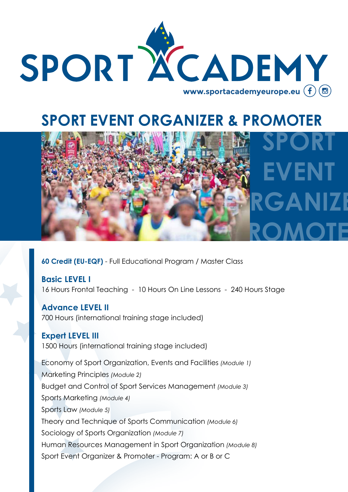

### **SPORT EVENT ORGANIZER & PROMOTER**



**60 Credit (EU-EQF)** - Full Educational Program / Master Class

**Basic LEVEL I** 16 Hours Frontal Teaching - 10 Hours On Line Lessons - 240 Hours Stage

**Advance LEVEL II** 700 Hours (international training stage included)

#### **Expert LEVEL III**

1500 Hours (international training stage included)

Economy of Sport Organization, Events and Facilities *(Module 1)* Marketing Principles *(Module 2)* Budget and Control of Sport Services Management *(Module 3)* Sports Marketing *(Module 4)* Sports Law *(Module 5)* Theory and Technique of Sports Communication *(Module 6)* Sociology of Sports Organization *(Module 7)* Human Resources Management in Sport Organization *(Module 8)* Sport Event Organizer & Promoter - Program: A or B or C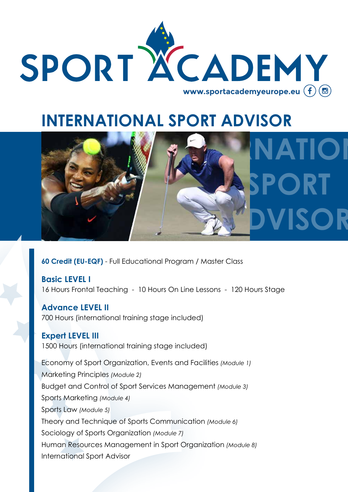

## **INTERNATIONAL SPORT ADVISOR**



**60 Credit (EU-EQF)** - Full Educational Program / Master Class

**Basic LEVEL I** 16 Hours Frontal Teaching - 10 Hours On Line Lessons - 120 Hours Stage

**Advance LEVEL II** 700 Hours (international training stage included)

#### **Expert LEVEL III**

1500 Hours (international training stage included)

Economy of Sport Organization, Events and Facilities *(Module 1)* Marketing Principles *(Module 2)* Budget and Control of Sport Services Management *(Module 3)* Sports Marketing *(Module 4)* Sports Law *(Module 5)* Theory and Technique of Sports Communication *(Module 6)* Sociology of Sports Organization *(Module 7)* Human Resources Management in Sport Organization *(Module 8)* International Sport Advisor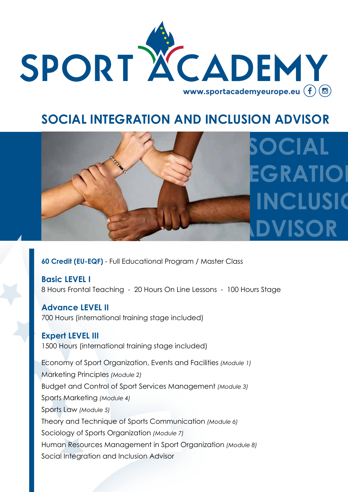

### **SOCIAL INTEGRATION AND INCLUSION ADVISOR**



**60 Credit (EU-EQF)** - Full Educational Program / Master Class

**Basic LEVEL I** 8 Hours Frontal Teaching - 20 Hours On Line Lessons - 100 Hours Stage

**Advance LEVEL II** 700 Hours (international training stage included)

#### **Expert LEVEL III**

1500 Hours (international training stage included)

Economy of Sport Organization, Events and Facilities *(Module 1)* Marketing Principles *(Module 2)* Budget and Control of Sport Services Management *(Module 3)* Sports Marketing *(Module 4)* Sports Law *(Module 5)* Theory and Technique of Sports Communication *(Module 6)* Sociology of Sports Organization *(Module 7)* Human Resources Management in Sport Organization *(Module 8)* Social Integration and Inclusion Advisor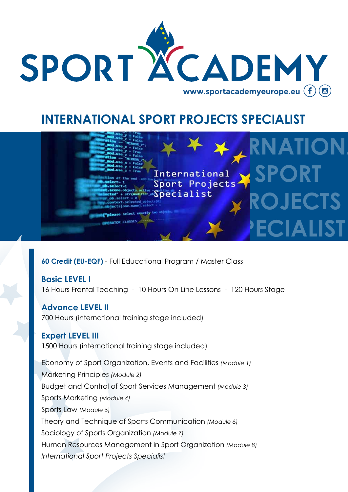

### **INTERNATIONAL SPORT PROJECTS SPECIALIST**



**60 Credit (EU-EQF)** - Full Educational Program / Master Class

#### **Basic LEVEL I**

16 Hours Frontal Teaching - 10 Hours On Line Lessons - 120 Hours Stage

#### **Advance LEVEL II**

700 Hours (international training stage included)

#### **Expert LEVEL III**

1500 Hours (international training stage included)

Economy of Sport Organization, Events and Facilities *(Module 1)* Marketing Principles *(Module 2)* Budget and Control of Sport Services Management *(Module 3)* Sports Marketing *(Module 4)* Sports Law *(Module 5)* Theory and Technique of Sports Communication *(Module 6)* Sociology of Sports Organization *(Module 7)* Human Resources Management in Sport Organization *(Module 8) International Sport Projects Specialist*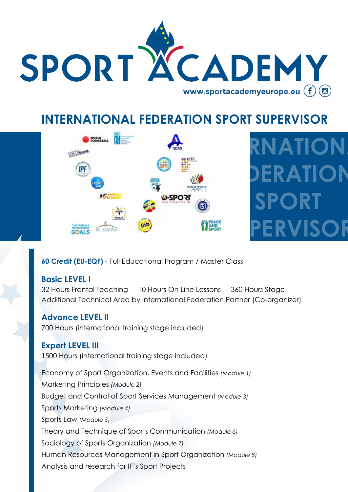

### **INTERNATIONAL FEDERATION SPORT SUPERVISOR**



# **INTERNAL DERATION SPORT PERVISOR**

#### **60 Credit (EU-EQF)** - Full Educational Program / Master Class

#### **Basic LEVEL I**

32 Hours Frontal Teaching - 10 Hours On Line Lessons - 360 Hours Stage Additional Technical Area by International Federation Partner (Co-organizer)

#### **Advance LEVEL II**

700 Hours (international training stage included)

#### **Expert LEVEL III**

1500 Hours (international training stage included)

Economy of Sport Organization, Events and Facilities *(Module 1)* Marketing Principles *(Module 2)* Budget and Control of Sport Services Management *(Module 3)* Sports Marketing *(Module 4)* Sports Law *(Module 5)* Theory and Technique of Sports Communication *(Module 6)* Sociology of Sports Organization *(Module 7)* Human Resources Management in Sport Organization *(Module 8)* Analysis and research for IF's Sport Projects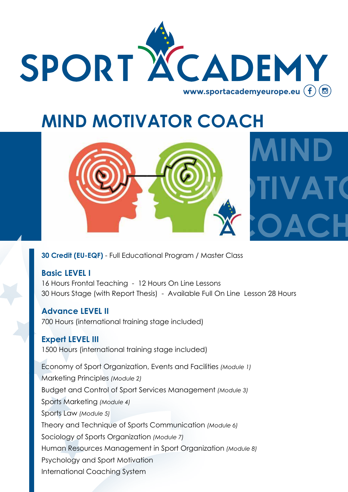

**MIND**

## **MIND MOTIVATOR COACH**



#### **30 Credit (EU-EQF)** - Full Educational Program / Master Class

#### **Basic LEVEL I**

16 Hours Frontal Teaching - 12 Hours On Line Lessons 30 Hours Stage (with Report Thesis) - Available Full On Line Lesson 28 Hours

#### **Advance LEVEL II**

700 Hours (international training stage included)

#### **Expert LEVEL III**

1500 Hours (international training stage included)

Economy of Sport Organization, Events and Facilities *(Module 1)* Marketing Principles *(Module 2)* Budget and Control of Sport Services Management *(Module 3)* Sports Marketing *(Module 4)* Sports Law *(Module 5)* Theory and Technique of Sports Communication *(Module 6)* Sociology of Sports Organization *(Module 7)* Human Resources Management in Sport Organization *(Module 8)* Psychology and Sport Motivation International Coaching System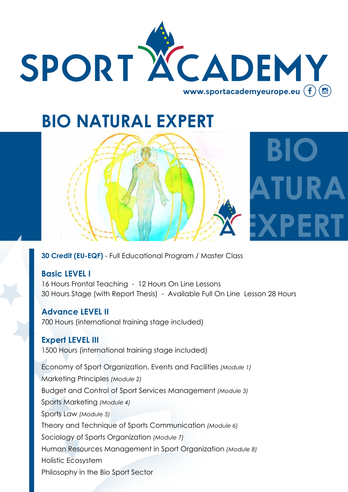

## **BIO NATURAL EXPERT**





**30 Credit (EU-EQF)** - Full Educational Program / Master Class

#### **Basic LEVEL I**

16 Hours Frontal Teaching - 12 Hours On Line Lessons 30 Hours Stage (with Report Thesis) - Available Full On Line Lesson 28 Hours

#### **Advance LEVEL II**

700 Hours (international training stage included)

#### **Expert LEVEL III**

1500 Hours (international training stage included)

Economy of Sport Organization, Events and Facilities *(Module 1)* Marketing Principles *(Module 2)* Budget and Control of Sport Services Management *(Module 3)* Sports Marketing *(Module 4)* Sports Law *(Module 5)* Theory and Technique of Sports Communication *(Module 6)* Sociology of Sports Organization *(Module 7)* Human Resources Management in Sport Organization *(Module 8)* Holistic Ecosystem Philosophy in the Bio Sport Sector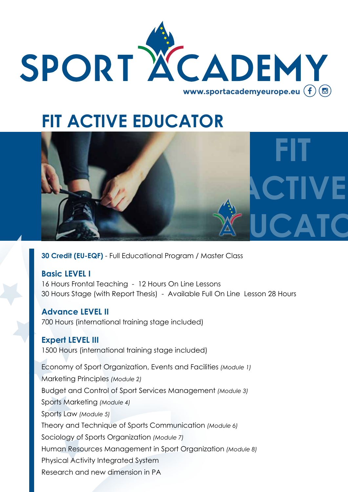

## **FIT ACTIVE EDUCATOR**



**30 Credit (EU-EQF)** - Full Educational Program / Master Class

#### **Basic LEVEL I**

16 Hours Frontal Teaching - 12 Hours On Line Lessons 30 Hours Stage (with Report Thesis) - Available Full On Line Lesson 28 Hours

#### **Advance LEVEL II**

700 Hours (international training stage included)

#### **Expert LEVEL III**

1500 Hours (international training stage included)

Economy of Sport Organization, Events and Facilities *(Module 1)* Marketing Principles *(Module 2)* Budget and Control of Sport Services Management *(Module 3)* Sports Marketing *(Module 4)* Sports Law *(Module 5)* Theory and Technique of Sports Communication *(Module 6)* Sociology of Sports Organization *(Module 7)* Human Resources Management in Sport Organization *(Module 8)* Physical Activity Integrated System Research and new dimension in PA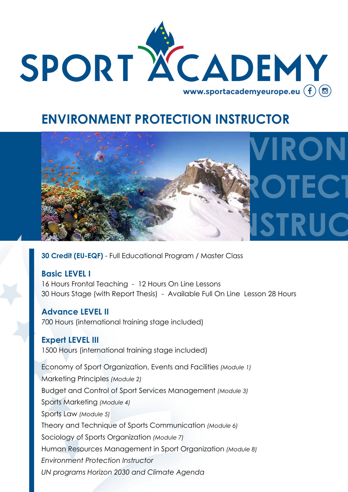

### **ENVIRONMENT PROTECTION INSTRUCTOR**



**30 Credit (EU-EQF)** - Full Educational Program / Master Class

#### **Basic LEVEL I**

16 Hours Frontal Teaching - 12 Hours On Line Lessons 30 Hours Stage (with Report Thesis) - Available Full On Line Lesson 28 Hours

#### **Advance LEVEL II**

700 Hours (international training stage included)

#### **Expert LEVEL III**

1500 Hours (international training stage included)

Economy of Sport Organization, Events and Facilities *(Module 1)* Marketing Principles *(Module 2)* Budget and Control of Sport Services Management *(Module 3)* Sports Marketing *(Module 4)* Sports Law *(Module 5)* Theory and Technique of Sports Communication *(Module 6)* Sociology of Sports Organization *(Module 7)* Human Resources Management in Sport Organization *(Module 8) Environment Protection Instructor UN programs Horizon 2030 and Climate Agenda*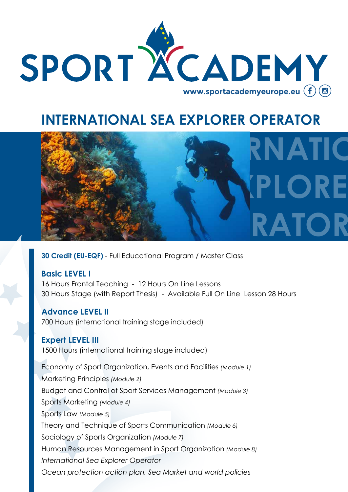

### **INTERNATIONAL SEA EXPLORER OPERATOR**



**30 Credit (EU-EQF)** - Full Educational Program / Master Class

#### **Basic LEVEL I**

16 Hours Frontal Teaching - 12 Hours On Line Lessons 30 Hours Stage (with Report Thesis) - Available Full On Line Lesson 28 Hours

#### **Advance LEVEL II**

700 Hours (international training stage included)

#### **Expert LEVEL III**

1500 Hours (international training stage included)

Economy of Sport Organization, Events and Facilities *(Module 1)* Marketing Principles *(Module 2)* Budget and Control of Sport Services Management *(Module 3)* Sports Marketing *(Module 4)* Sports Law *(Module 5)* Theory and Technique of Sports Communication *(Module 6)* Sociology of Sports Organization *(Module 7)* Human Resources Management in Sport Organization *(Module 8) International Sea Explorer Operator Ocean protection action plan, Sea Market and world policies*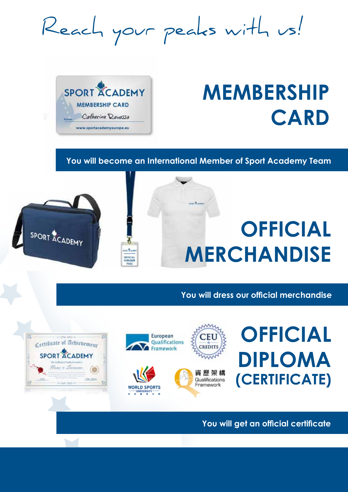Reach your peaks with us!



of extilicate of Achievement

**SPORT ACADEMY** 

# **MEMBERSHIP CARD**

#### **You will become an International Member of Sport Academy Team**



**You will dress our official merchandise**





**You will get an official certificate**